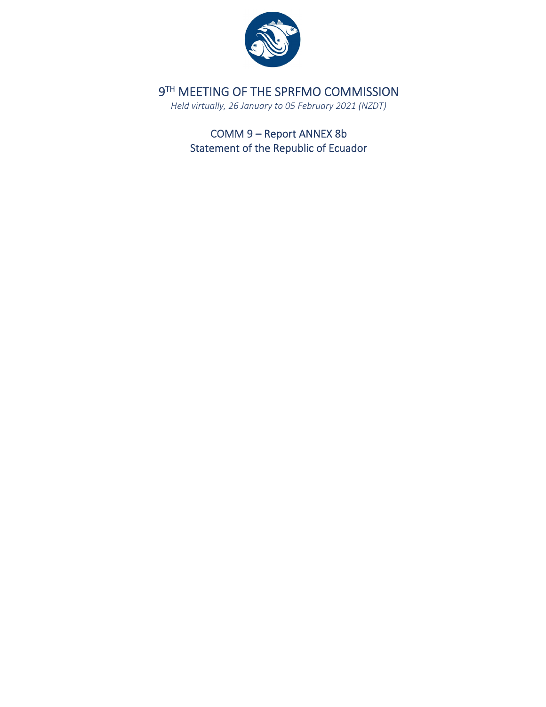

9TH MEETING OF THE SPRFMO COMMISSION

*Held virtually, 26 January to 05 February 2021 (NZDT)*

COMM 9 – Report ANNEX 8b Statement of the Republic of Ecuador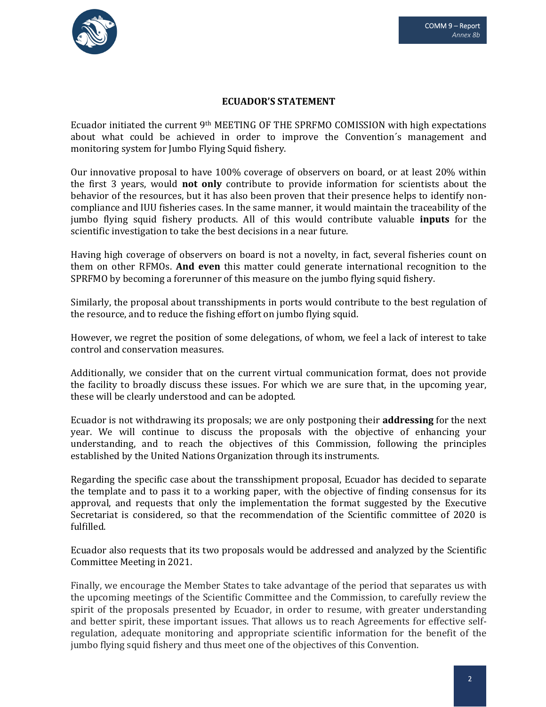

## **ECUADOR'S STATEMENT**

Ecuador initiated the current  $9<sup>th</sup> MEETING OF THE SPRFMO COMISSION with high expectations$ about what could be achieved in order to improve the Convention´s management and monitoring system for Jumbo Flying Squid fishery.

Our innovative proposal to have 100% coverage of observers on board, or at least 20% within the first 3 years, would **not only** contribute to provide information for scientists about the behavior of the resources, but it has also been proven that their presence helps to identify noncompliance and IUU fisheries cases. In the same manner, it would maintain the traceability of the jumbo flying squid fishery products. All of this would contribute valuable **inputs** for the scientific investigation to take the best decisions in a near future.

Having high coverage of observers on board is not a novelty, in fact, several fisheries count on them on other RFMOs. **And even** this matter could generate international recognition to the SPRFMO by becoming a forerunner of this measure on the jumbo flying squid fishery.

Similarly, the proposal about transshipments in ports would contribute to the best regulation of the resource, and to reduce the fishing effort on jumbo flying squid.

However, we regret the position of some delegations, of whom, we feel a lack of interest to take control and conservation measures.

Additionally, we consider that on the current virtual communication format, does not provide the facility to broadly discuss these issues. For which we are sure that, in the upcoming year, these will be clearly understood and can be adopted.

Ecuador is not withdrawing its proposals; we are only postponing their **addressing** for the next year. We will continue to discuss the proposals with the objective of enhancing your understanding, and to reach the objectives of this Commission, following the principles established by the United Nations Organization through its instruments.

Regarding the specific case about the transshipment proposal, Ecuador has decided to separate the template and to pass it to a working paper, with the objective of finding consensus for its approval, and requests that only the implementation the format suggested by the Executive Secretariat is considered, so that the recommendation of the Scientific committee of 2020 is fulfilled.

Ecuador also requests that its two proposals would be addressed and analyzed by the Scientific Committee Meeting in 2021.

Finally, we encourage the Member States to take advantage of the period that separates us with the upcoming meetings of the Scientific Committee and the Commission, to carefully review the spirit of the proposals presented by Ecuador, in order to resume, with greater understanding and better spirit, these important issues. That allows us to reach Agreements for effective selfregulation, adequate monitoring and appropriate scientific information for the benefit of the jumbo flying squid fishery and thus meet one of the objectives of this Convention.